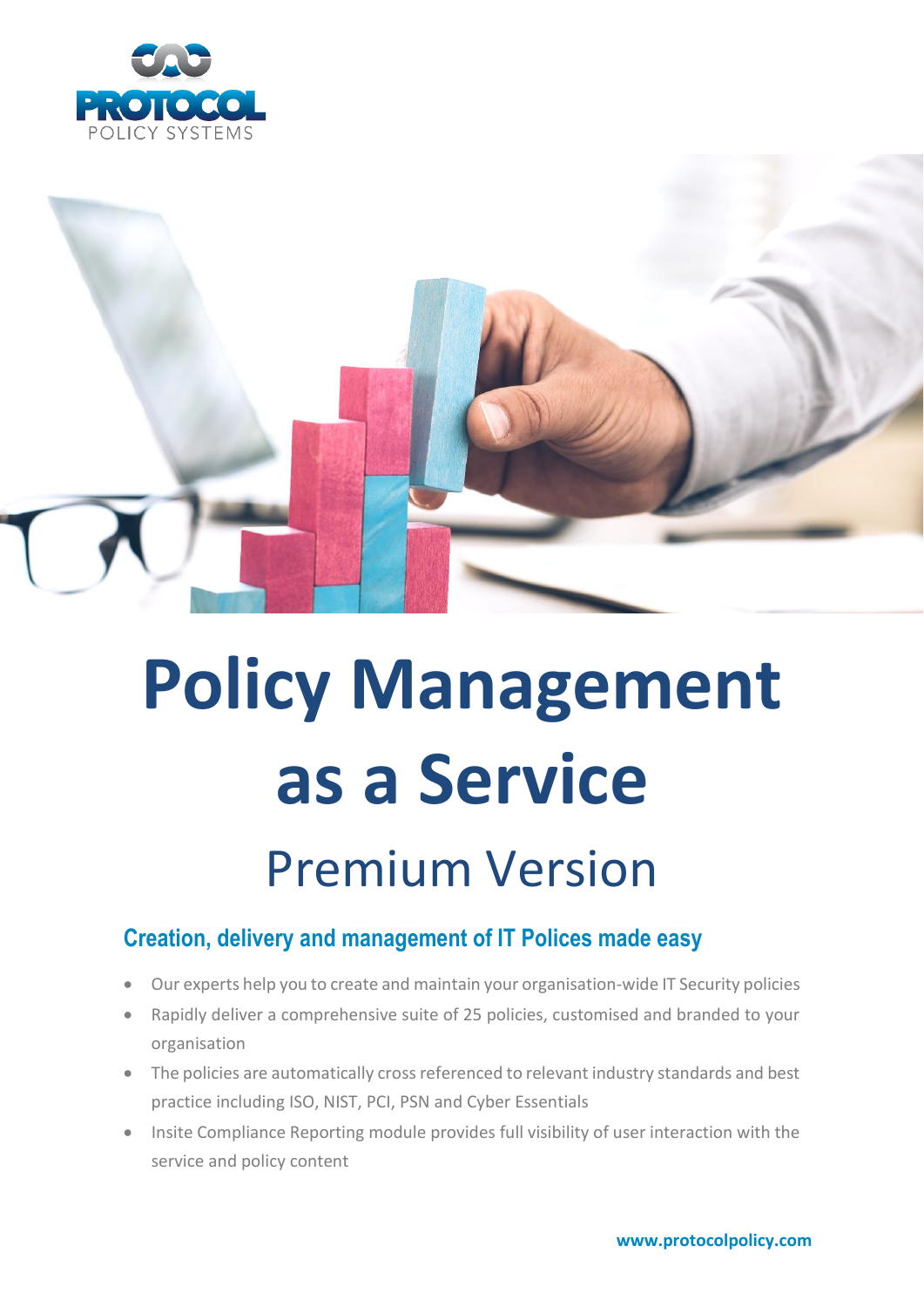



# **Policy Management as a Service**

# Premium Version

# **Creation, delivery and management of IT Polices made easy**

- Our experts help you to create and maintain your organisation-wide IT Security policies
- Rapidly deliver a comprehensive suite of 25 policies, customised and branded to your organisation
- The policies are automatically cross referenced to relevant industry standards and best practice including ISO, NIST, PCI, PSN and Cyber Essentials
- Insite Compliance Reporting module provides full visibility of user interaction with the service and policy content